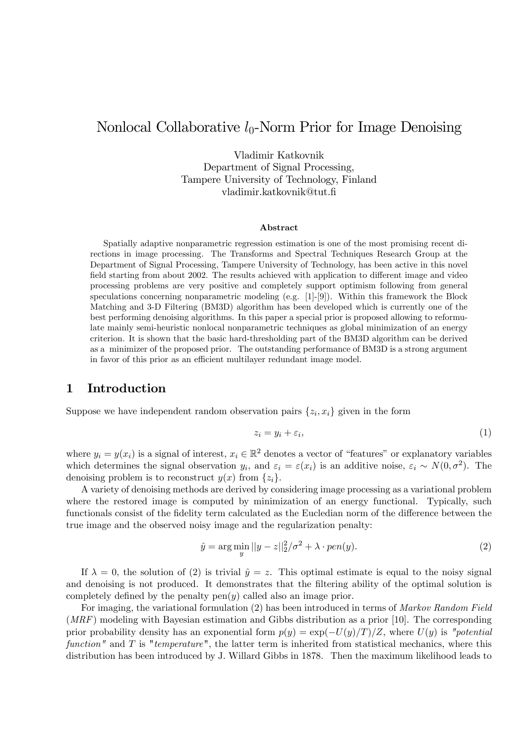# Nonlocal Collaborative  $l_0$ -Norm Prior for Image Denoising

Vladimir Katkovnik Department of Signal Processing, Tampere University of Technology, Finland vladimir.katkovnik@tut.Ö

#### Abstract

Spatially adaptive nonparametric regression estimation is one of the most promising recent directions in image processing. The Transforms and Spectral Techniques Research Group at the Department of Signal Processing, Tampere University of Technology, has been active in this novel field starting from about 2002. The results achieved with application to different image and video processing problems are very positive and completely support optimism following from general speculations concerning nonparametric modeling (e.g. [1]-[9]). Within this framework the Block Matching and 3-D Filtering (BM3D) algorithm has been developed which is currently one of the best performing denoising algorithms. In this paper a special prior is proposed allowing to reformulate mainly semi-heuristic nonlocal nonparametric techniques as global minimization of an energy criterion. It is shown that the basic hard-thresholding part of the BM3D algorithm can be derived as a minimizer of the proposed prior. The outstanding performance of BM3D is a strong argument in favor of this prior as an efficient multilayer redundant image model.

### 1 Introduction

Suppose we have independent random observation pairs  $\{z_i, x_i\}$  given in the form

$$
z_i = y_i + \varepsilon_i,\tag{1}
$$

where  $y_i = y(x_i)$  is a signal of interest,  $x_i \in \mathbb{R}^2$  denotes a vector of "features" or explanatory variables which determines the signal observation  $y_i$ , and  $\varepsilon_i = \varepsilon(x_i)$  is an additive noise,  $\varepsilon_i \sim N(0, \sigma^2)$ . The denoising problem is to reconstruct  $y(x)$  from  $\{z_i\}$ .

A variety of denoising methods are derived by considering image processing as a variational problem where the restored image is computed by minimization of an energy functional. Typically, such functionals consist of the fidelity term calculated as the Eucledian norm of the difference between the true image and the observed noisy image and the regularization penalty:

$$
\hat{y} = \arg\min_{y} ||y - z||_2^2 / \sigma^2 + \lambda \cdot pen(y). \tag{2}
$$

If  $\lambda = 0$ , the solution of (2) is trivial  $\hat{y} = z$ . This optimal estimate is equal to the noisy signal and denoising is not produced. It demonstrates that the filtering ability of the optimal solution is completely defined by the penalty  $pen(y)$  called also an image prior.

For imaging, the variational formulation (2) has been introduced in terms of Markov Random Field  $(MRF)$  modeling with Bayesian estimation and Gibbs distribution as a prior [10]. The corresponding prior probability density has an exponential form  $p(y) = \exp(-U(y)/T)/Z$ , where  $U(y)$  is "potential function" and  $T$  is "temperature", the latter term is inherited from statistical mechanics, where this distribution has been introduced by J. Willard Gibbs in 1878. Then the maximum likelihood leads to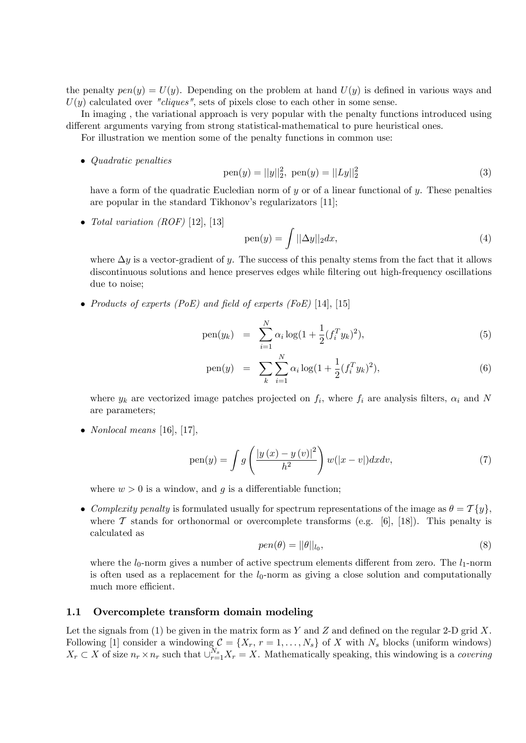the penalty  $pen(y) = U(y)$ . Depending on the problem at hand  $U(y)$  is defined in various ways and  $U(y)$  calculated over "cliques", sets of pixels close to each other in some sense.

In imaging , the variational approach is very popular with the penalty functions introduced using different arguments varying from strong statistical-mathematical to pure heuristical ones.

For illustration we mention some of the penalty functions in common use:

• Quadratic penalties

pen(y) = 
$$
||y||_2^2
$$
, pen(y) =  $||Ly||_2^2$  (3)

have a form of the quadratic Eucledian norm of  $y$  or of a linear functional of  $y$ . These penalties are popular in the standard Tikhonov's regularizators  $[11]$ ;

• Total variation  $(ROF)$  [12], [13]

$$
pen(y) = \int ||\Delta y||_2 dx,
$$
\n(4)

where  $\Delta y$  is a vector-gradient of y. The success of this penalty stems from the fact that it allows discontinuous solutions and hence preserves edges while filtering out high-frequency oscillations due to noise;

• Products of experts (PoE) and field of experts (FoE) [14], [15]

pen(y<sub>k</sub>) = 
$$
\sum_{i=1}^{N} \alpha_i \log(1 + \frac{1}{2} (f_i^T y_k)^2),
$$
 (5)

pen(y) = 
$$
\sum_{k} \sum_{i=1}^{N} \alpha_i \log(1 + \frac{1}{2} (f_i^T y_k)^2),
$$
 (6)

where  $y_k$  are vectorized image patches projected on  $f_i$ , where  $f_i$  are analysis filters,  $\alpha_i$  and N are parameters;

• *Nonlocal means* [16], [17],

$$
pen(y) = \int g\left(\frac{|y(x) - y(v)|^2}{h^2}\right) w(|x - v|) dxdv,
$$
\n(7)

where  $w > 0$  is a window, and g is a differentiable function;

• Complexity penalty is formulated usually for spectrum representations of the image as  $\theta = \mathcal{T}{y}$ , where  $\mathcal T$  stands for orthonormal or overcomplete transforms (e.g. [6], [18]). This penalty is calculated as

$$
pen(\theta) = ||\theta||_{l_0},\tag{8}
$$

where the  $l_0$ -norm gives a number of active spectrum elements different from zero. The  $l_1$ -norm is often used as a replacement for the  $l_0$ -norm as giving a close solution and computationally much more efficient.

### 1.1 Overcomplete transform domain modeling

Let the signals from (1) be given in the matrix form as Y and Z and defined on the regular 2-D grid X. Following [1] consider a windowing  $C = \{X_r, r = 1, \ldots, N_s\}$  of X with  $N_s$  blocks (uniform windows)  $X_r \subset X$  of size  $n_r \times n_r$  such that  $\cup_{r=1}^{N_s} X_r = X$ . Mathematically speaking, this windowing is a covering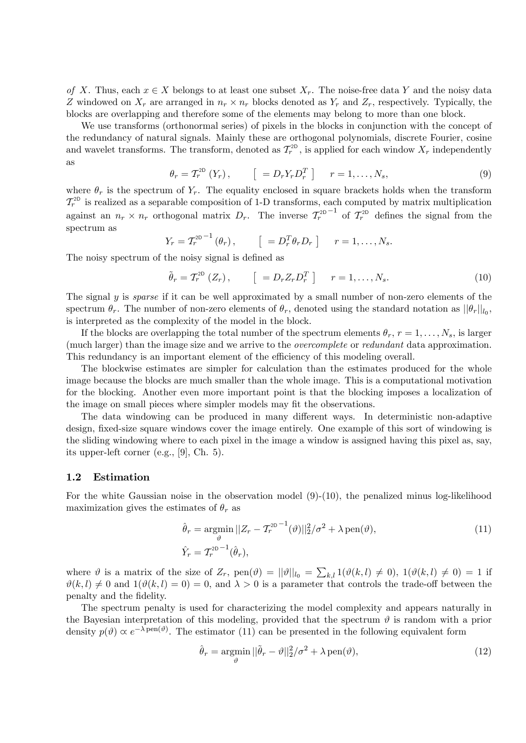of X. Thus, each  $x \in X$  belongs to at least one subset  $X_r$ . The noise-free data Y and the noisy data Z windowed on  $X_r$  are arranged in  $n_r \times n_r$  blocks denoted as  $Y_r$  and  $Z_r$ , respectively. Typically, the blocks are overlapping and therefore some of the elements may belong to more than one block.

We use transforms (orthonormal series) of pixels in the blocks in conjunction with the concept of the redundancy of natural signals. Mainly these are orthogonal polynomials, discrete Fourier, cosine and wavelet transforms. The transform, denoted as  $T_r^{2D}$ , is applied for each window  $X_r$  independently as

$$
\theta_r = T_r^{2D} (Y_r), \qquad [ = D_r Y_r D_r^T ] \qquad r = 1, ..., N_s,
$$
\n(9)

where  $\theta_r$  is the spectrum of  $Y_r$ . The equality enclosed in square brackets holds when the transform  $T_r^{\text{2D}}$  is realized as a separable composition of 1-D transforms, each computed by matrix multiplication against an  $n_r \times n_r$  orthogonal matrix  $D_r$ . The inverse  $\mathcal{T}_r^{2D-1}$  of  $\mathcal{T}_r^{2D}$  defines the signal from the spectrum as

$$
Y_r = T_r^{2D-1}(\theta_r), \qquad \left[ = D_r^T \theta_r D_r \right] \qquad r = 1, \ldots, N_s.
$$

The noisy spectrum of the noisy signal is defined as

$$
\tilde{\theta}_r = T_r^{2D} (Z_r), \qquad \left[ = D_r Z_r D_r^T \right] \qquad r = 1, \dots, N_s. \tag{10}
$$

The signal y is *sparse* if it can be well approximated by a small number of non-zero elements of the spectrum  $\theta_r$ . The number of non-zero elements of  $\theta_r$ , denoted using the standard notation as  $||\theta_r||_{l_0}$ , is interpreted as the complexity of the model in the block.

If the blocks are overlapping the total number of the spectrum elements  $\theta_r$ ,  $r = 1, \ldots, N_s$ , is larger (much larger) than the image size and we arrive to the overcomplete or redundant data approximation. This redundancy is an important element of the efficiency of this modeling overall.

The blockwise estimates are simpler for calculation than the estimates produced for the whole image because the blocks are much smaller than the whole image. This is a computational motivation for the blocking. Another even more important point is that the blocking imposes a localization of the image on small pieces where simpler models may fit the observations.

The data windowing can be produced in many different ways. In deterministic non-adaptive design, fixed-size square windows cover the image entirely. One example of this sort of windowing is the sliding windowing where to each pixel in the image a window is assigned having this pixel as, say, its upper-left corner (e.g., [9], Ch. 5).

#### 1.2 Estimation

For the white Gaussian noise in the observation model  $(9)-(10)$ , the penalized minus log-likelihood maximization gives the estimates of  $\theta_r$  as

$$
\hat{\theta}_r = \underset{\vartheta}{\operatorname{argmin}} \, ||Z_r - T_r^{\text{2D} - 1}(\vartheta)||_2^2 / \sigma^2 + \lambda \operatorname{pen}(\vartheta),
$$
\n
$$
\hat{Y}_r = T_r^{\text{2D} - 1}(\hat{\theta}_r),
$$
\n(11)

where  $\vartheta$  is a matrix of the size of  $Z_r$ ,  $pen(\vartheta) = ||\vartheta||_{l_0} = \sum_{k,l} 1(\vartheta(k,l) \neq 0)$ ,  $1(\vartheta(k,l) \neq 0) = 1$  if  $\vartheta(k, l) \neq 0$  and  $1(\vartheta(k, l) = 0) = 0$ , and  $\lambda > 0$  is a parameter that controls the trade-off between the penalty and the Ödelity.

The spectrum penalty is used for characterizing the model complexity and appears naturally in the Bayesian interpretation of this modeling, provided that the spectrum  $\vartheta$  is random with a prior density  $p(\theta) \propto e^{-\lambda \text{pen}(\theta)}$ . The estimator (11) can be presented in the following equivalent form

$$
\hat{\theta}_r = \underset{\vartheta}{\text{argmin}} \, ||\tilde{\theta}_r - \vartheta||_2^2 / \sigma^2 + \lambda \operatorname{pen}(\vartheta), \tag{12}
$$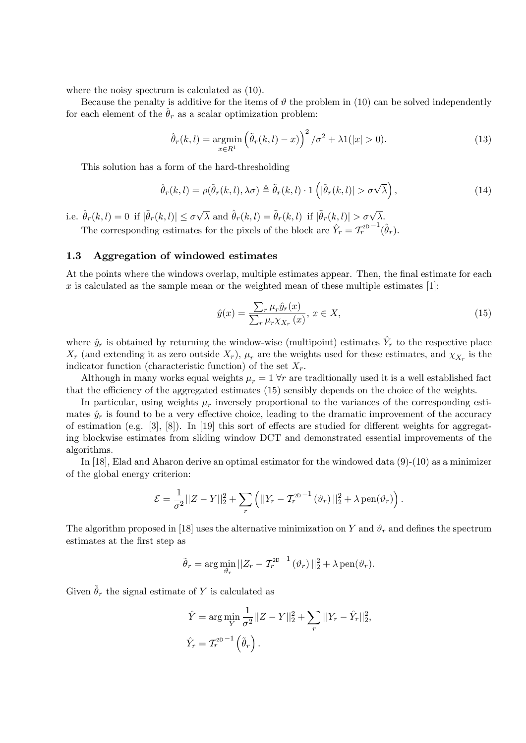where the noisy spectrum is calculated as (10).

Because the penalty is additive for the items of  $\vartheta$  the problem in (10) can be solved independently for each element of the  $\hat{\theta}_r$  as a scalar optimization problem:

$$
\hat{\theta}_r(k,l) = \underset{x \in R^1}{\operatorname{argmin}} \left( \tilde{\theta}_r(k,l) - x \right)^2 / \sigma^2 + \lambda \mathbb{1}(|x| > 0). \tag{13}
$$

This solution has a form of the hard-thresholding

$$
\hat{\theta}_r(k,l) = \rho(\tilde{\theta}_r(k,l), \lambda \sigma) \triangleq \tilde{\theta}_r(k,l) \cdot 1\left(|\tilde{\theta}_r(k,l)| > \sigma \sqrt{\lambda}\right),\tag{14}
$$

i.e.  $\hat{\theta}_r(k, l) = 0$  if  $|\tilde{\theta}_r(k, l)| \le \sigma \sqrt{\lambda}$  and  $\hat{\theta}_r(k, l) = \tilde{\theta}_r(k, l)$  if  $|\tilde{\theta}_r(k, l)| > \sigma \sqrt{\lambda}$ .

The corresponding estimates for the pixels of the block are  $\hat{Y}_r = T_r^{2D-1}(\hat{\theta}_r)$ .

### 1.3 Aggregation of windowed estimates

At the points where the windows overlap, multiple estimates appear. Then, the final estimate for each x is calculated as the sample mean or the weighted mean of these multiple estimates  $[1]$ :

$$
\hat{y}(x) = \frac{\sum_{r} \mu_r \hat{y}_r(x)}{\sum_{r} \mu_r \chi_{X_r}(x)}, \ x \in X,\tag{15}
$$

where  $\hat{y}_r$  is obtained by returning the window-wise (multipoint) estimates  $\hat{Y}_r$  to the respective place  $X_r$  (and extending it as zero outside  $X_r$ ),  $\mu_r$  are the weights used for these estimates, and  $\chi_{X_r}$  is the indicator function (characteristic function) of the set  $X_r$ .

Although in many works equal weights  $\mu_r = 1 \forall r$  are traditionally used it is a well established fact that the efficiency of the aggregated estimates (15) sensibly depends on the choice of the weights.

In particular, using weights  $\mu_r$  inversely proportional to the variances of the corresponding estimates  $\hat{y}_r$  is found to be a very effective choice, leading to the dramatic improvement of the accuracy of estimation (e.g.  $[3]$ ,  $[8]$ ). In  $[19]$  this sort of effects are studied for different weights for aggregating blockwise estimates from sliding window DCT and demonstrated essential improvements of the algorithms.

In [18], Elad and Aharon derive an optimal estimator for the windowed data (9)-(10) as a minimizer of the global energy criterion:

$$
\mathcal{E} = \frac{1}{\sigma^2} ||Z - Y||_2^2 + \sum_r \left( ||Y_r - \mathcal{T}_r^{\text{2D}}^{-1} (\vartheta_r) ||_2^2 + \lambda \operatorname{pen}(\vartheta_r) \right).
$$

The algorithm proposed in [18] uses the alternative minimization on Y and  $\vartheta_r$  and defines the spectrum estimates at the Örst step as

$$
\tilde{\theta}_r = \arg \min_{\vartheta_r} ||Z_r - \mathcal{T}_r^{2D-1}(\vartheta_r)||_2^2 + \lambda \operatorname{pen}(\vartheta_r).
$$

Given  $\tilde{\theta}_r$  the signal estimate of Y is calculated as

$$
\hat{Y} = \arg\min_{Y} \frac{1}{\sigma^2} ||Z - Y||_2^2 + \sum_{r} ||Y_r - \hat{Y}_r||_2^2,
$$
  

$$
\hat{Y}_r = T_r^{2D-1} (\tilde{\theta}_r).
$$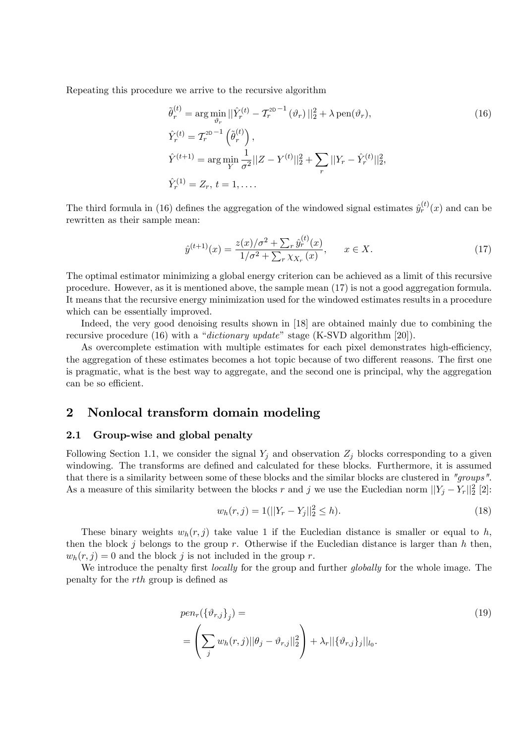Repeating this procedure we arrive to the recursive algorithm

$$
\tilde{\theta}_r^{(t)} = \arg \min_{\vartheta_r} ||\hat{Y}_r^{(t)} - T_r^{2D-1}(\vartheta_r)||_2^2 + \lambda \operatorname{pen}(\vartheta_r),
$$
\n
$$
\hat{Y}_r^{(t)} = T_r^{2D-1}(\tilde{\theta}_r^{(t)}),
$$
\n
$$
\hat{Y}_r^{(t+1)} = \arg \min_{Y} \frac{1}{\sigma^2} ||Z - Y^{(t)}||_2^2 + \sum_r ||Y_r - \hat{Y}_r^{(t)}||_2^2,
$$
\n
$$
\hat{Y}_r^{(1)} = Z_r, \ t = 1, \dots
$$
\n(16)

The third formula in (16) defines the aggregation of the windowed signal estimates  $\hat{y}^{(t)}_r(x)$  and can be rewritten as their sample mean:

$$
\hat{y}^{(t+1)}(x) = \frac{z(x)/\sigma^2 + \sum_r \hat{y}_r^{(t)}(x)}{1/\sigma^2 + \sum_r \chi_{X_r}(x)}, \qquad x \in X. \tag{17}
$$

The optimal estimator minimizing a global energy criterion can be achieved as a limit of this recursive procedure. However, as it is mentioned above, the sample mean (17) is not a good aggregation formula. It means that the recursive energy minimization used for the windowed estimates results in a procedure which can be essentially improved.

Indeed, the very good denoising results shown in [18] are obtained mainly due to combining the recursive procedure (16) with a "dictionary update" stage (K-SVD algorithm [20]).

As overcomplete estimation with multiple estimates for each pixel demonstrates high-efficiency, the aggregation of these estimates becomes a hot topic because of two different reasons. The first one is pragmatic, what is the best way to aggregate, and the second one is principal, why the aggregation can be so efficient.

## 2 Nonlocal transform domain modeling

#### 2.1 Group-wise and global penalty

Following Section 1.1, we consider the signal  $Y_j$  and observation  $Z_j$  blocks corresponding to a given windowing. The transforms are defined and calculated for these blocks. Furthermore, it is assumed that there is a similarity between some of these blocks and the similar blocks are clustered in "groups". As a measure of this similarity between the blocks r and j we use the Eucledian norm  $||Y_j - Y_r||_2^2$  [2]:

$$
w_h(r,j) = 1(||Y_r - Y_j||_2^2 \le h). \tag{18}
$$

These binary weights  $w_h(r, j)$  take value 1 if the Eucledian distance is smaller or equal to h, then the block j belongs to the group r. Otherwise if the Eucledian distance is larger than h then,  $w_h(r, j) = 0$  and the block j is not included in the group r.

We introduce the penalty first *locally* for the group and further *globally* for the whole image. The penalty for the *rth* group is defined as

$$
pen_r(\{\vartheta_{r,j}\}_j) =
$$
  
= 
$$
\left(\sum_j w_h(r,j) ||\theta_j - \vartheta_{r,j}||_2^2\right) + \lambda_r ||\{\vartheta_{r,j}\}_j||_{l_0}.
$$
 (19)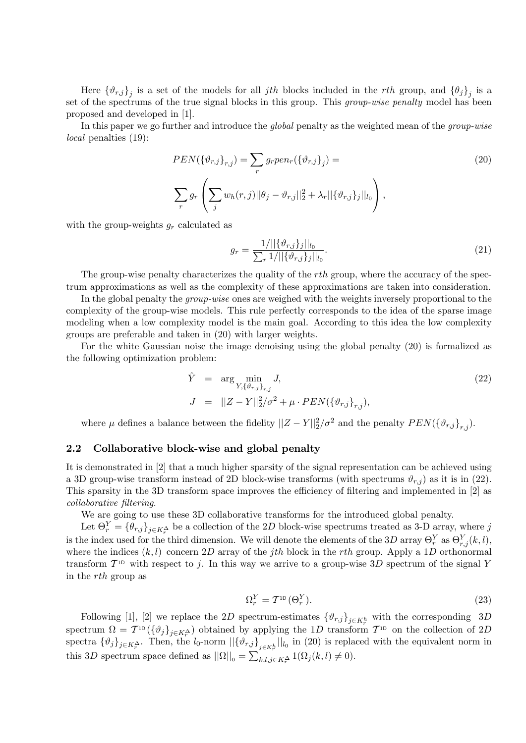Here  $\{\vartheta_{r,j}\}_j$  is a set of the models for all *jth* blocks included in the *rth* group, and  $\{\theta_j\}_j$  is a set of the spectrums of the true signal blocks in this group. This *group-wise penalty* model has been proposed and developed in [1].

In this paper we go further and introduce the *global* penalty as the weighted mean of the *group-wise* local penalties (19):

$$
PEN(\{\vartheta_{r,j}\}_{r,j}) = \sum_{r} g_r pen_r(\{\vartheta_{r,j}\}_j) =
$$
\n
$$
\sum_{r} g_r \left( \sum_{j} w_h(r,j) ||\theta_j - \vartheta_{r,j}||_2^2 + \lambda_r ||\{\vartheta_{r,j}\}_j||_{l_0} \right),
$$
\n(20)

with the group-weights  $g_r$  calculated as

$$
g_r = \frac{1/||\{\vartheta_{r,j}\}_j||_{l_0}}{\sum_r 1/||\{\vartheta_{r,j}\}_j||_{l_0}}.\tag{21}
$$

The group-wise penalty characterizes the quality of the rth group, where the accuracy of the spectrum approximations as well as the complexity of these approximations are taken into consideration.

In the global penalty the *group-wise* ones are weighed with the weights inversely proportional to the complexity of the group-wise models. This rule perfectly corresponds to the idea of the sparse image modeling when a low complexity model is the main goal. According to this idea the low complexity groups are preferable and taken in (20) with larger weights.

For the white Gaussian noise the image denoising using the global penalty (20) is formalized as the following optimization problem:

$$
\hat{Y} = \arg \min_{Y, \{\vartheta_{r,j}\}_{r,j}} J,
$$
\n
$$
J = ||Z - Y||_2^2 / \sigma^2 + \mu \cdot PEN(\{\vartheta_{r,j}\}_{r,j}),
$$
\n(22)

where  $\mu$  defines a balance between the fidelity  $||Z - Y||_2^2 / \sigma^2$  and the penalty  $PEN(\{\vartheta_{r,j}\}_{r,j})$ .

### 2.2 Collaborative block-wise and global penalty

It is demonstrated in [2] that a much higher sparsity of the signal representation can be achieved using a 3D group-wise transform instead of 2D block-wise transforms (with spectrums  $\vartheta_{r,i}$ ) as it is in (22). This sparsity in the 3D transform space improves the efficiency of filtering and implemented in  $[2]$  as collaborative filtering.

We are going to use these 3D collaborative transforms for the introduced global penalty.

Let  $\Theta_r^Y = \{\theta_{r,j}\}_{j \in K_r^{\Delta}}$  be a collection of the 2D block-wise spectrums treated as 3-D array, where j is the index used for the third dimension. We will denote the elements of the 3D array  $\Theta_r^Y$  as  $\Theta_{r,j}^Y(k,l)$ , where the indices  $(k, l)$  concern 2D array of the *j*th block in the *rth* group. Apply a 1D orthonormal transform  $T^{1D}$  with respect to j. In this way we arrive to a group-wise 3D spectrum of the signal Y in the rth group as

$$
\Omega_r^Y = \mathcal{T}^{\text{1D}}(\Theta_r^Y). \tag{23}
$$

Following [1], [2] we replace the 2D spectrum-estimates  $\{\vartheta_{r,j}\}_{j\in K_r^h}$  with the corresponding 3D spectrum  $\Omega = T^{1D}(\{\vartheta_j\}_{j\in K_r^{\Delta}})$  obtained by applying the 1D transform  $T^{1D}$  on the collection of 2D spectra  $\{\vartheta_j\}_{j\in K_r^{\Delta}}$ . Then, the  $l_0$ -norm  $\|\{\vartheta_{r,j}\}_{j\in K_r^h}\|_{l_0}$  in (20) is replaced with the equivalent norm in this 3D spectrum space defined as  $||\Omega||_0 = \sum_{k,l,j \in K_r^{\Delta}} 1(\Omega_j(k,l) \neq 0)$ .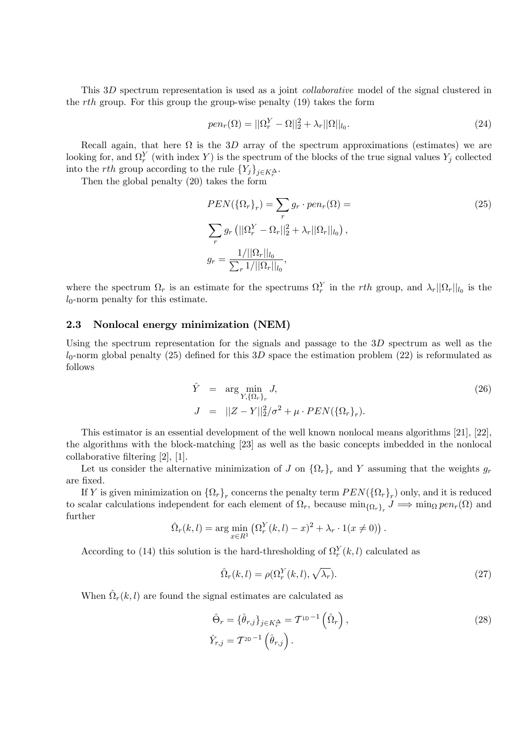This 3D spectrum representation is used as a joint *collaborative* model of the signal clustered in the *rth* group. For this group the group-wise penalty  $(19)$  takes the form

$$
pen_r(\Omega) = ||\Omega_r^Y - \Omega||_2^2 + \lambda_r ||\Omega||_{l_0}.
$$
\n(24)

Recall again, that here  $\Omega$  is the 3D array of the spectrum approximations (estimates) we are looking for, and  $\Omega_r^Y$  (with index Y) is the spectrum of the blocks of the true signal values  $Y_j$  collected into the *rth* group according to the rule  $\{Y_j\}_{j\in K_r^{\Delta}}$ .

Then the global penalty (20) takes the form

$$
PEN(\{\Omega_r\}_r) = \sum_r g_r \cdot pen_r(\Omega) =
$$
\n
$$
\sum_r g_r (||\Omega_r^Y - \Omega_r||_2^2 + \lambda_r ||\Omega_r||_{l_0}),
$$
\n
$$
g_r = \frac{1/||\Omega_r||_{l_0}}{\sum_r 1/||\Omega_r||_{l_0}},
$$
\n(25)

where the spectrum  $\Omega_r$  is an estimate for the spectrums  $\Omega_r^Y$  in the rth group, and  $\lambda_r||\Omega_r||_{l_0}$  is the  $l_0$ -norm penalty for this estimate.

#### 2.3 Nonlocal energy minimization (NEM)

Using the spectrum representation for the signals and passage to the  $3D$  spectrum as well as the  $l_0$ -norm global penalty (25) defined for this 3D space the estimation problem (22) is reformulated as follows

$$
\hat{Y} = \arg \min_{Y, \{\Omega_r\}_r} J,
$$
\n
$$
J = ||Z - Y||_2^2 / \sigma^2 + \mu \cdot PEN(\{\Omega_r\}_r).
$$
\n(26)

This estimator is an essential development of the well known nonlocal means algorithms [21], [22], the algorithms with the block-matching [23] as well as the basic concepts imbedded in the nonlocal collaborative filtering  $[2]$ ,  $[1]$ .

Let us consider the alternative minimization of J on  $\{\Omega_r\}_r$  and Y assuming that the weights  $g_r$ are Öxed.

If Y is given minimization on  $\{\Omega_r\}_r$  concerns the penalty term  $PEN(\{\Omega_r\}_r)$  only, and it is reduced to scalar calculations independent for each element of  $\Omega_r$ , because  $\min_{\{\Omega_r\}_r} J \implies \min_{\Omega} pen_r(\Omega)$  and further

$$
\hat{\Omega}_r(k,l) = \arg\min_{x \in R^1} \left( \Omega_r^Y(k,l) - x \right)^2 + \lambda_r \cdot 1(x \neq 0) \, .
$$

According to (14) this solution is the hard-thresholding of  $\Omega_r^Y(k, l)$  calculated as

$$
\hat{\Omega}_r(k,l) = \rho(\Omega_r^Y(k,l), \sqrt{\lambda_r}).\tag{27}
$$

When  $\hat{\Omega}_r(k, l)$  are found the signal estimates are calculated as

$$
\hat{\Theta}_r = \{\hat{\theta}_{r,j}\}_{j \in K_r^{\Delta}} = \mathcal{T}^{1D-1} \left( \hat{\Omega}_r \right),
$$
  

$$
\hat{Y}_{r,j} = \mathcal{T}^{2D-1} \left( \hat{\theta}_{r,j} \right).
$$
 (28)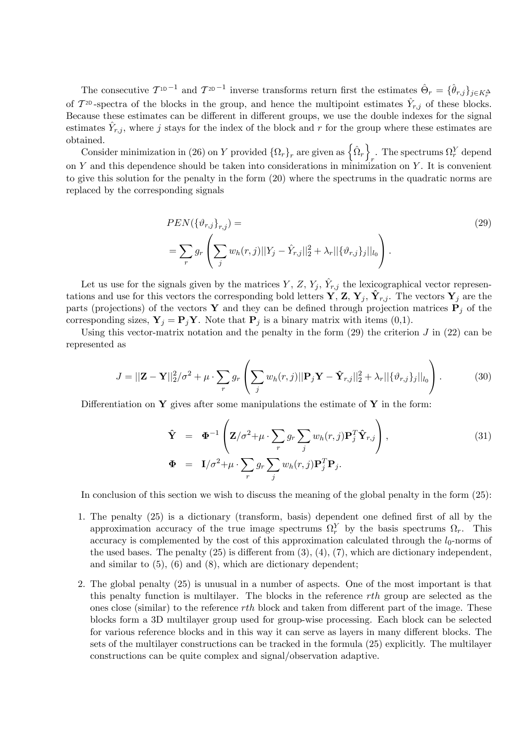The consecutive  $T^{1D-1}$  and  $T^{2D-1}$  inverse transforms return first the estimates  $\hat{\Theta}_r = {\hat{\theta}_{r,j}}_{j\in K_r^{\Delta}}$ of  $\mathcal{T}^{2D}$ -spectra of the blocks in the group, and hence the multipoint estimates  $\hat{Y}_{r,j}$  of these blocks. Because these estimates can be different in different groups, we use the double indexes for the signal estimates  $\hat{Y}_{r,j}$ , where j stays for the index of the block and r for the group where these estimates are obtained.

Consider minimization in (26) on Y provided  $\{\Omega_r\}_r$  are given as  $\left\{\hat{\Omega}_r\right\}$ . The spectrums  $\Omega_r^Y$  depend on  $Y$  and this dependence should be taken into considerations in minimization on  $Y$ . It is convenient to give this solution for the penalty in the form (20) where the spectrums in the quadratic norms are replaced by the corresponding signals

$$
PEN(\{\vartheta_{r,j}\}_{r,j}) =
$$
\n
$$
= \sum_{r} g_r \left( \sum_{j} w_h(r,j) ||Y_j - \hat{Y}_{r,j}||_2^2 + \lambda_r ||\{\vartheta_{r,j}\}_j||_{l_0} \right).
$$
\n(29)

Let us use for the signals given by the matrices  $Y, Z, Y_j, \hat{Y}_{r,j}$  the lexicographical vector representations and use for this vectors the corresponding bold letters  $\mathbf{Y}, \mathbf{Z}, \mathbf{Y}_j, \hat{\mathbf{Y}}_{r,j}$ . The vectors  $\mathbf{Y}_j$  are the parts (projections) of the vectors Y and they can be defined through projection matrices  $P_i$  of the corresponding sizes,  $Y_j = P_j Y$ . Note that  $P_j$  is a binary matrix with items (0,1).

Using this vector-matrix notation and the penalty in the form  $(29)$  the criterion J in  $(22)$  can be represented as

$$
J = ||\mathbf{Z} - \mathbf{Y}||_2^2 / \sigma^2 + \mu \cdot \sum_r g_r \left( \sum_j w_h(r, j) ||\mathbf{P}_j \mathbf{Y} - \hat{\mathbf{Y}}_{r, j}||_2^2 + \lambda_r ||\{\vartheta_{r, j}\}_j||_{l_0} \right).
$$
 (30)

Differentiation on Y gives after some manipulations the estimate of Y in the form:

$$
\hat{\mathbf{Y}} = \boldsymbol{\Phi}^{-1} \left( \mathbf{Z}/\sigma^2 + \mu \cdot \sum_r g_r \sum_j w_h(r, j) \mathbf{P}_j^T \hat{\mathbf{Y}}_{r, j} \right),
$$
\n
$$
\boldsymbol{\Phi} = \mathbf{I}/\sigma^2 + \mu \cdot \sum_r g_r \sum_j w_h(r, j) \mathbf{P}_j^T \mathbf{P}_j.
$$
\n(31)

In conclusion of this section we wish to discuss the meaning of the global penalty in the form (25):

- 1. The penalty  $(25)$  is a dictionary (transform, basis) dependent one defined first of all by the approximation accuracy of the true image spectrums  $\Omega_r^Y$  by the basis spectrums  $\Omega_r$ . This accuracy is complemented by the cost of this approximation calculated through the  $l_0$ -norms of the used bases. The penalty  $(25)$  is different from  $(3)$ ,  $(4)$ ,  $(7)$ , which are dictionary independent, and similar to (5), (6) and (8), which are dictionary dependent;
- 2. The global penalty (25) is unusual in a number of aspects. One of the most important is that this penalty function is multilayer. The blocks in the reference rth group are selected as the ones close (similar) to the reference rth block and taken from different part of the image. These blocks form a 3D multilayer group used for group-wise processing. Each block can be selected for various reference blocks and in this way it can serve as layers in many different blocks. The sets of the multilayer constructions can be tracked in the formula (25) explicitly. The multilayer constructions can be quite complex and signal/observation adaptive.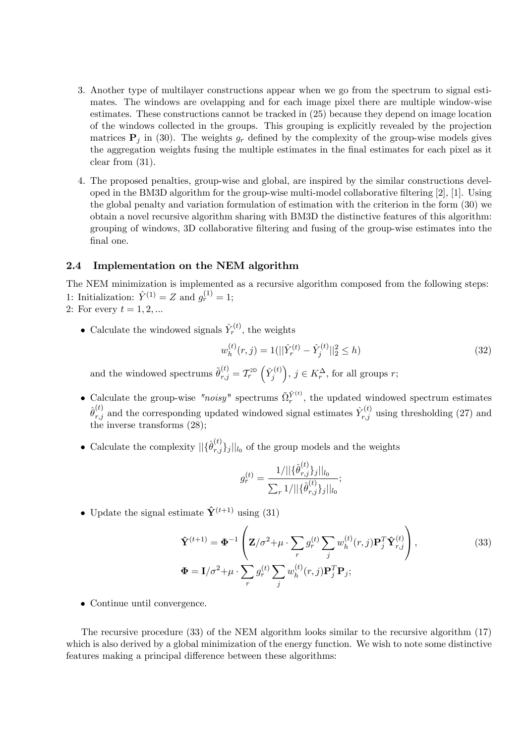- 3. Another type of multilayer constructions appear when we go from the spectrum to signal estimates. The windows are ovelapping and for each image pixel there are multiple window-wise estimates. These constructions cannot be tracked in (25) because they depend on image location of the windows collected in the groups. This grouping is explicitly revealed by the projection matrices  $P_i$  in (30). The weights  $g_r$  defined by the complexity of the group-wise models gives the aggregation weights fusing the multiple estimates in the final estimates for each pixel as it clear from (31).
- 4. The proposed penalties, group-wise and global, are inspired by the similar constructions developed in the BM3D algorithm for the group-wise multi-model collaborative filtering  $[2]$ ,  $[1]$ . Using the global penalty and variation formulation of estimation with the criterion in the form (30) we obtain a novel recursive algorithm sharing with BM3D the distinctive features of this algorithm: grouping of windows, 3D collaborative filtering and fusing of the group-wise estimates into the final one.

### 2.4 Implementation on the NEM algorithm

The NEM minimization is implemented as a recursive algorithm composed from the following steps: 1: Initialization:  $\hat{Y}^{(1)} = Z$  and  $g_r^{(1)} = 1$ ;

- 2: For every  $t = 1, 2, ...$ 
	- Calculate the windowed signals  $\hat{Y}_r^{(t)}$ , the weights

$$
w_h^{(t)}(r,j) = 1(||\hat{Y}_r^{(t)} - \hat{Y}_j^{(t)}||_2^2 \le h)
$$
\n(32)

and the windowed spectrums  $\tilde{\theta}_{r,j}^{(t)} = \mathcal{T}_r^{\text{2D}} \left( \hat{Y}_j^{(t)} \right)$ j ),  $j \in K_r^{\Delta}$ , for all groups r;

- Calculate the group-wise "noisy" spectrums  $\tilde{\Omega}_r^{\hat{Y}^{(t)}}$ , the updated windowed spectrum estimates  $\hat{\theta}^{(t)}_{r,j}$  and the corresponding updated windowed signal estimates  $\hat{Y}^{(t)}_{r,j}$  using thresholding (27) and the inverse transforms (28);
- Calculate the complexity  $||\{\hat{\theta}_{r,j}^{(t)}\}\|$  $\langle r, \overline{r}, \overline{j} \rangle_j ||_{l_0}$  of the group models and the weights

$$
g_r^{(t)} = \frac{1/||\{\hat{\theta}_{r,j}^{(t)}\}_j||_{l_0}}{\sum_{r} 1/||\{\hat{\theta}_{r,j}^{(t)}\}_j||_{l_0}};
$$

• Update the signal estimate  $\hat{\mathbf{Y}}^{(t+1)}$  using (31)

$$
\hat{\mathbf{Y}}^{(t+1)} = \mathbf{\Phi}^{-1} \left( \mathbf{Z} / \sigma^2 + \mu \cdot \sum_r g_r^{(t)} \sum_j w_h^{(t)}(r, j) \mathbf{P}_j^T \hat{\mathbf{Y}}_{r, j}^{(t)} \right),
$$
\n
$$
\mathbf{\Phi} = \mathbf{I} / \sigma^2 + \mu \cdot \sum_r g_r^{(t)} \sum_j w_h^{(t)}(r, j) \mathbf{P}_j^T \mathbf{P}_j;
$$
\n(33)

• Continue until convergence.

The recursive procedure (33) of the NEM algorithm looks similar to the recursive algorithm (17) which is also derived by a global minimization of the energy function. We wish to note some distinctive features making a principal difference between these algorithms: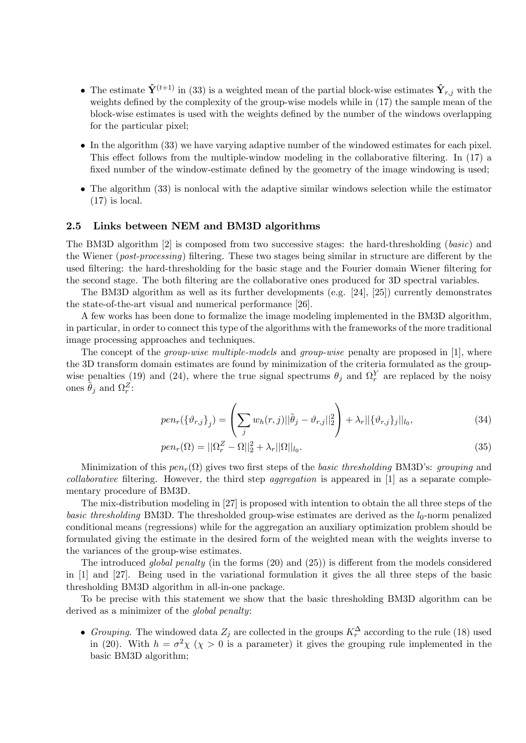- The estimate  $\hat{\mathbf{Y}}^{(t+1)}$  in (33) is a weighted mean of the partial block-wise estimates  $\hat{\mathbf{Y}}_{r,j}$  with the weights defined by the complexity of the group-wise models while in (17) the sample mean of the block-wise estimates is used with the weights defined by the number of the windows overlapping for the particular pixel;
- In the algorithm (33) we have varying adaptive number of the windowed estimates for each pixel. This effect follows from the multiple-window modeling in the collaborative filtering. In  $(17)$  a fixed number of the window-estimate defined by the geometry of the image windowing is used;
- $\bullet$  The algorithm (33) is nonlocal with the adaptive similar windows selection while the estimator  $(17)$  is local.

#### 2.5 Links between NEM and BM3D algorithms

The BM3D algorithm [2] is composed from two successive stages: the hard-thresholding (basic) and the Wiener (post-processing) filtering. These two stages being similar in structure are different by the used filtering: the hard-thresholding for the basic stage and the Fourier domain Wiener filtering for the second stage. The both filtering are the collaborative ones produced for 3D spectral variables.

The BM3D algorithm as well as its further developments (e.g. [24], [25]) currently demonstrates the state-of-the-art visual and numerical performance [26].

A few works has been done to formalize the image modeling implemented in the BM3D algorithm, in particular, in order to connect this type of the algorithms with the frameworks of the more traditional image processing approaches and techniques.

The concept of the *group-wise multiple-models* and *group-wise* penalty are proposed in [1], where the 3D transform domain estimates are found by minimization of the criteria formulated as the groupwise penalties (19) and (24), where the true signal spectrums  $\theta_j$  and  $\Omega_r^Y$  are replaced by the noisy ones  $\tilde{\theta}_j$  and  $\Omega_r^Z$ :

$$
pen_r(\{\vartheta_{r,j}\}_j) = \left(\sum_j w_h(r,j) ||\tilde{\theta}_j - \vartheta_{r,j}||_2^2\right) + \lambda_r ||\{\vartheta_{r,j}\}_j||_{l_0},\tag{34}
$$

$$
pen_r(\Omega) = ||\Omega_r^Z - \Omega||_2^2 + \lambda_r ||\Omega||_{l_0}.
$$
\n(35)

Minimization of this  $pen_r(\Omega)$  gives two first steps of the *basic thresholding* BM3D's: *grouping* and  $collaborative$  filtering. However, the third step *aggregation* is appeared in [1] as a separate complementary procedure of BM3D.

The mix-distribution modeling in [27] is proposed with intention to obtain the all three steps of the *basic thresholding* BM3D. The thresholded group-wise estimates are derived as the  $l_0$ -norm penalized conditional means (regressions) while for the aggregation an auxiliary optimization problem should be formulated giving the estimate in the desired form of the weighted mean with the weights inverse to the variances of the group-wise estimates.

The introduced global penalty (in the forms  $(20)$  and  $(25)$ ) is different from the models considered in [1] and [27]. Being used in the variational formulation it gives the all three steps of the basic thresholding BM3D algorithm in all-in-one package.

To be precise with this statement we show that the basic thresholding BM3D algorithm can be derived as a minimizer of the *global penalty*:

• Grouping. The windowed data  $Z_j$  are collected in the groups  $K_r^{\Delta}$  according to the rule (18) used in (20). With  $h = \sigma^2 \chi$  ( $\chi > 0$  is a parameter) it gives the grouping rule implemented in the basic BM3D algorithm;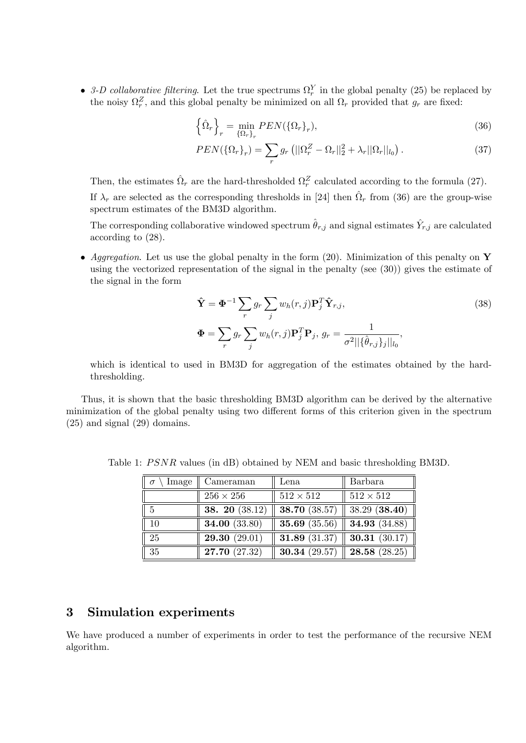• 3-D collaborative filtering. Let the true spectrums  $\Omega_r^Y$  in the global penalty (25) be replaced by the noisy  $\Omega_r^Z$ , and this global penalty be minimized on all  $\Omega_r$  provided that  $g_r$  are fixed:

$$
\left\{\hat{\Omega}_r\right\}_r = \min_{\{\Omega_r\}_r} PEN(\{\Omega_r\}_r),\tag{36}
$$

$$
PEN(\{\Omega_r\}_r) = \sum_r g_r \left( \|\Omega_r^Z - \Omega_r\|_2^2 + \lambda_r \|\Omega_r\|_{l_0} \right). \tag{37}
$$

Then, the estimates  $\hat{\Omega}_r$  are the hard-thresholded  $\Omega_r^Z$  calculated according to the formula (27). If  $\lambda_r$  are selected as the corresponding thresholds in [24] then  $\hat{\Omega}_r$  from (36) are the group-wise spectrum estimates of the BM3D algorithm.

The corresponding collaborative windowed spectrum  $\hat{\theta}_{r,j}$  and signal estimates  $\hat{Y}_{r,j}$  are calculated according to (28).

• Aggregation. Let us use the global penalty in the form (20). Minimization of this penalty on Y using the vectorized representation of the signal in the penalty (see (30)) gives the estimate of the signal in the form

$$
\hat{\mathbf{Y}} = \mathbf{\Phi}^{-1} \sum_{r} g_r \sum_{j} w_h(r, j) \mathbf{P}_j^T \hat{\mathbf{Y}}_{r,j},
$$
\n
$$
\mathbf{\Phi} = \sum_{r} g_r \sum_{j} w_h(r, j) \mathbf{P}_j^T \mathbf{P}_j, g_r = \frac{1}{\sigma^2 ||\{\hat{\theta}_{r,j}\}_j||_{l_0}},
$$
\n(38)

which is identical to used in BM3D for aggregation of the estimates obtained by the hardthresholding.

Thus, it is shown that the basic thresholding BM3D algorithm can be derived by the alternative minimization of the global penalty using two different forms of this criterion given in the spectrum (25) and signal (29) domains.

| $\parallel \sigma$ | Image   Cameraman    | Lena             | Barbara                                            |
|--------------------|----------------------|------------------|----------------------------------------------------|
|                    | $256 \times 256$     | $512 \times 512$ | $512\times512$                                     |
| $\parallel 5$      | 38. 20 $(38.12)$     |                  | <b>38.70</b> (38.57)   38.29 ( <b>38.40</b> )      |
| $\parallel$ 10     | <b>34.00</b> (33.80) |                  | <b>35.69</b> (35.56) <b>34.93</b> (34.88) <b> </b> |
| $\parallel$ 25     | 29.30(29.01)         |                  | <b>31.89</b> (31.37) <b>30.31</b> (30.17) <b> </b> |
| $\parallel$ 35     | 27.70 (27.32)        |                  | <b>30.34</b> (29.57) <b>28.58</b> (28.25) <b> </b> |

Table 1: PSNR values (in dB) obtained by NEM and basic thresholding BM3D.

## 3 Simulation experiments

We have produced a number of experiments in order to test the performance of the recursive NEM algorithm.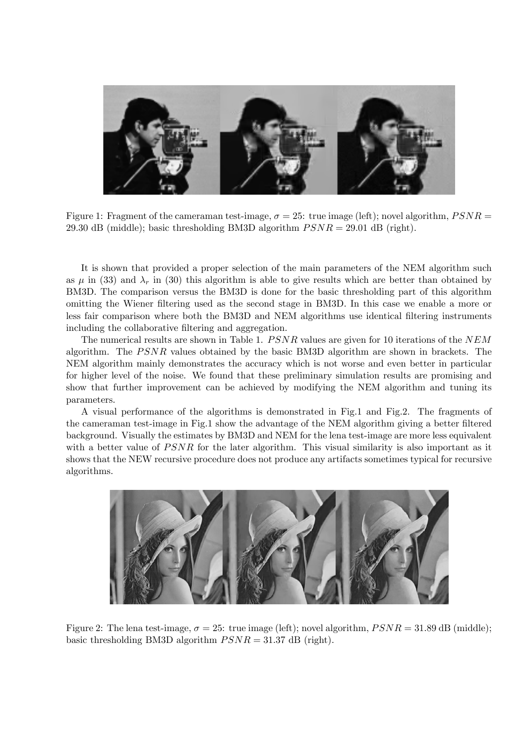

Figure 1: Fragment of the cameraman test-image,  $\sigma = 25$ : true image (left); novel algorithm,  $PSNR =$ 29.30 dB (middle); basic thresholding BM3D algorithm  $PSNR = 29.01$  dB (right).

It is shown that provided a proper selection of the main parameters of the NEM algorithm such as  $\mu$  in (33) and  $\lambda_r$  in (30) this algorithm is able to give results which are better than obtained by BM3D. The comparison versus the BM3D is done for the basic thresholding part of this algorithm omitting the Wiener Öltering used as the second stage in BM3D. In this case we enable a more or less fair comparison where both the BM3D and NEM algorithms use identical Öltering instruments including the collaborative filtering and aggregation.

The numerical results are shown in Table 1.  $PSNR$  values are given for 10 iterations of the NEM algorithm. The  $PSNR$  values obtained by the basic BM3D algorithm are shown in brackets. The NEM algorithm mainly demonstrates the accuracy which is not worse and even better in particular for higher level of the noise. We found that these preliminary simulation results are promising and show that further improvement can be achieved by modifying the NEM algorithm and tuning its parameters.

A visual performance of the algorithms is demonstrated in Fig.1 and Fig.2. The fragments of the cameraman test-image in Fig.1 show the advantage of the NEM algorithm giving a better Öltered background. Visually the estimates by BM3D and NEM for the lena test-image are more less equivalent with a better value of  $PSNR$  for the later algorithm. This visual similarity is also important as it shows that the NEW recursive procedure does not produce any artifacts sometimes typical for recursive algorithms.



Figure 2: The lena test-image,  $\sigma = 25$ : true image (left); novel algorithm,  $PSNR = 31.89$  dB (middle); basic thresholding BM3D algorithm  $PSNR = 31.37$  dB (right).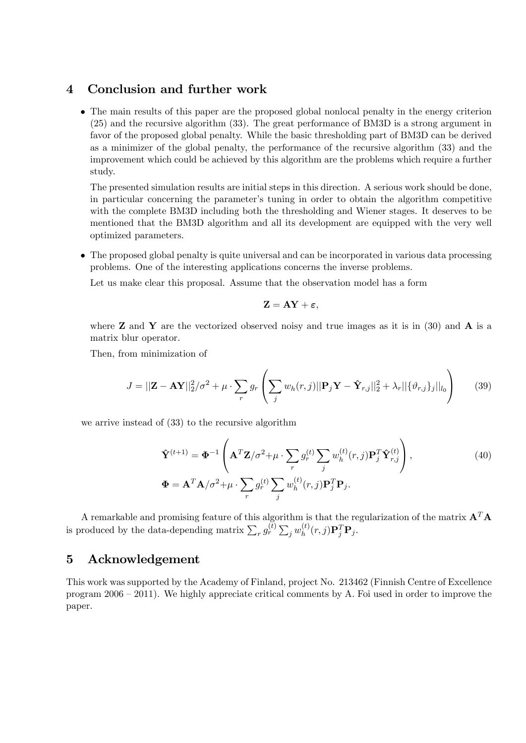## 4 Conclusion and further work

 The main results of this paper are the proposed global nonlocal penalty in the energy criterion (25) and the recursive algorithm (33). The great performance of BM3D is a strong argument in favor of the proposed global penalty. While the basic thresholding part of BM3D can be derived as a minimizer of the global penalty, the performance of the recursive algorithm (33) and the improvement which could be achieved by this algorithm are the problems which require a further study.

The presented simulation results are initial steps in this direction. A serious work should be done, in particular concerning the parameterís tuning in order to obtain the algorithm competitive with the complete BM3D including both the thresholding and Wiener stages. It deserves to be mentioned that the BM3D algorithm and all its development are equipped with the very well optimized parameters.

 The proposed global penalty is quite universal and can be incorporated in various data processing problems. One of the interesting applications concerns the inverse problems.

Let us make clear this proposal. Assume that the observation model has a form

$$
\mathbf{Z} = \mathbf{AY} + \boldsymbol{\varepsilon},
$$

where **Z** and **Y** are the vectorized observed noisy and true images as it is in (30) and **A** is a matrix blur operator.

Then, from minimization of

$$
J = ||\mathbf{Z} - \mathbf{A}\mathbf{Y}||_2^2 / \sigma^2 + \mu \cdot \sum_r g_r \left( \sum_j w_h(r, j) ||\mathbf{P}_j \mathbf{Y} - \hat{\mathbf{Y}}_{r, j}||_2^2 + \lambda_r ||\{\vartheta_{r, j}\}_j||_{l_0} \right) \tag{39}
$$

we arrive instead of (33) to the recursive algorithm

$$
\hat{\mathbf{Y}}^{(t+1)} = \mathbf{\Phi}^{-1} \left( \mathbf{A}^T \mathbf{Z} / \sigma^2 + \mu \cdot \sum_r g_r^{(t)} \sum_j w_h^{(t)}(r, j) \mathbf{P}_j^T \hat{\mathbf{Y}}_{r, j}^{(t)} \right),
$$
\n
$$
\mathbf{\Phi} = \mathbf{A}^T \mathbf{A} / \sigma^2 + \mu \cdot \sum_r g_r^{(t)} \sum_j w_h^{(t)}(r, j) \mathbf{P}_j^T \mathbf{P}_j.
$$
\n(40)

A remarkable and promising feature of this algorithm is that the regularization of the matrix  $A<sup>T</sup>A$ is produced by the data-depending matrix  $\sum_{r} g_r^{(t)} \sum_{j} w_h^{(t)}$  $h^{(t)}(r,j)\mathbf{P}_j^T\mathbf{P}_j.$ 

## 5 Acknowledgement

This work was supported by the Academy of Finland, project No. 213462 (Finnish Centre of Excellence program  $2006 - 2011$ ). We highly appreciate critical comments by A. Foi used in order to improve the paper.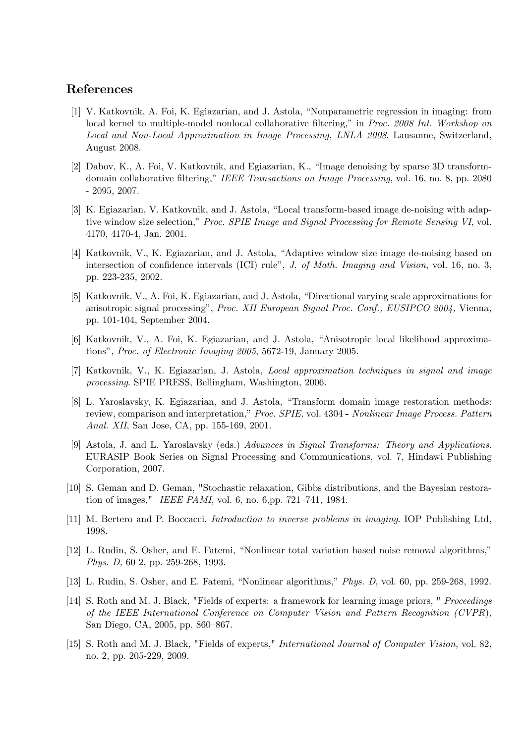## References

- [1] V. Katkovnik, A. Foi, K. Egiazarian, and J. Astola, "Nonparametric regression in imaging: from local kernel to multiple-model nonlocal collaborative filtering," in Proc. 2008 Int. Workshop on Local and Non-Local Approximation in Image Processing, LNLA 2008, Lausanne, Switzerland, August 2008.
- [2] Dabov, K., A. Foi, V. Katkovnik, and Egiazarian, K., "Image denoising by sparse 3D transformdomain collaborative filtering," IEEE Transactions on Image Processing, vol. 16, no. 8, pp. 2080 - 2095, 2007.
- [3] K. Egiazarian, V. Katkovnik, and J. Astola, "Local transform-based image de-noising with adaptive window size selection," Proc. SPIE Image and Signal Processing for Remote Sensing VI, vol. 4170, 4170-4, Jan. 2001.
- [4] Katkovnik, V., K. Egiazarian, and J. Astola, "Adaptive window size image de-noising based on intersection of confidence intervals (ICI) rule", J. of Math. Imaging and Vision, vol. 16, no. 3, pp. 223-235, 2002.
- [5] Katkovnik, V., A. Foi, K. Egiazarian, and J. Astola, "Directional varying scale approximations for anisotropic signal processing", Proc. XII European Signal Proc. Conf., EUSIPCO 2004, Vienna, pp. 101-104, September 2004.
- [6] Katkovnik, V., A. Foi, K. Egiazarian, and J. Astola, "Anisotropic local likelihood approximations", Proc. of Electronic Imaging 2005, 5672-19, January 2005.
- [7] Katkovnik, V., K. Egiazarian, J. Astola, Local approximation techniques in signal and image processing. SPIE PRESS, Bellingham, Washington, 2006.
- [8] L. Yaroslavsky, K. Egiazarian, and J. Astola, "Transform domain image restoration methods: review, comparison and interpretation," Proc. SPIE, vol. 4304 - Nonlinear Image Process. Pattern Anal. XII, San Jose, CA, pp. 155-169, 2001.
- [9] Astola, J. and L. Yaroslavsky (eds.) Advances in Signal Transforms: Theory and Applications. EURASIP Book Series on Signal Processing and Communications, vol. 7, Hindawi Publishing Corporation, 2007.
- [10] S. Geman and D. Geman, "Stochastic relaxation, Gibbs distributions, and the Bayesian restoration of images," IEEE PAMI, vol. 6, no. 6, pp. 721-741, 1984.
- [11] M. Bertero and P. Boccacci. Introduction to inverse problems in imaging. IOP Publishing Ltd, 1998.
- [12] L. Rudin, S. Osher, and E. Fatemi, "Nonlinear total variation based noise removal algorithms," Phys. D, 60 2, pp. 259-268, 1993.
- [13] L. Rudin, S. Osher, and E. Fatemi, "Nonlinear algorithms," *Phys. D*, vol. 60, pp. 259-268, 1992.
- [14] S. Roth and M. J. Black, "Fields of experts: a framework for learning image priors, " Proceedings of the IEEE International Conference on Computer Vision and Pattern Recognition (CVPR), San Diego, CA, 2005, pp. 860-867.
- [15] S. Roth and M. J. Black, "Fields of experts," International Journal of Computer Vision, vol. 82, no. 2, pp. 205-229, 2009.